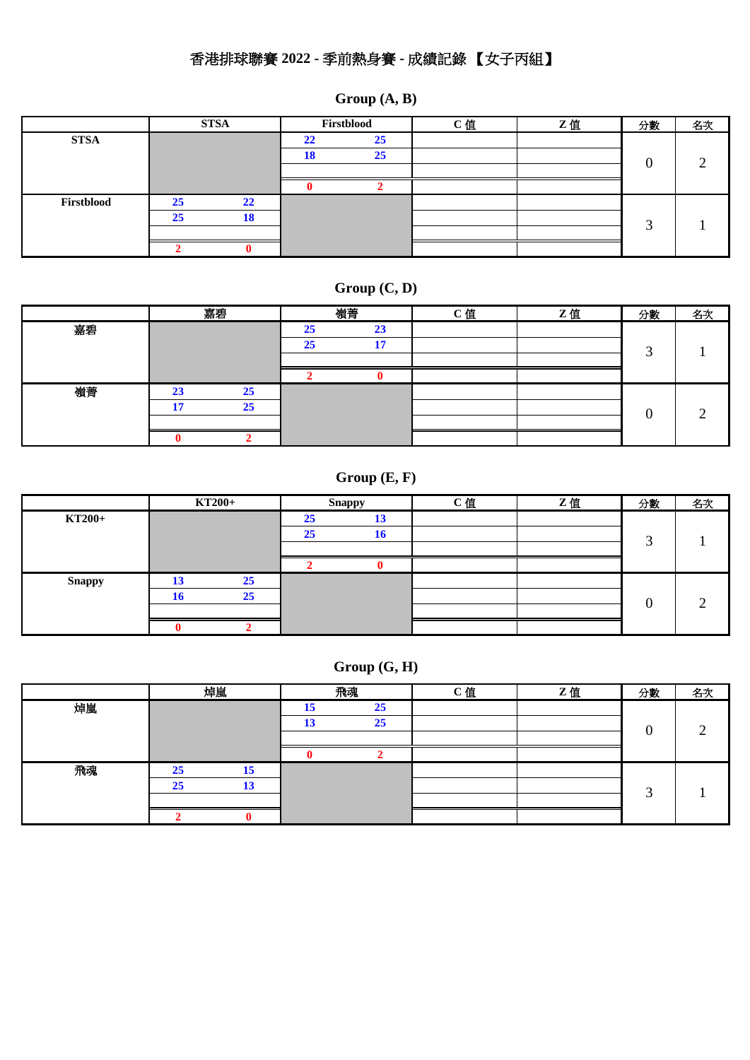# 香港排球聯賽 **2022 -** 季前熱身賽 **-** 成績記錄 【女子丙組】

|             |    | <b>STSA</b>     | Firstblood |    | C值 | Z值 | 分數 | 名次 |
|-------------|----|-----------------|------------|----|----|----|----|----|
| <b>STSA</b> |    |                 | 22         | 25 |    |    |    |    |
|             |    |                 | 18         | 25 |    |    |    |    |
|             |    |                 |            |    |    |    | 0  |    |
|             |    |                 |            |    |    |    |    |    |
| Firstblood  | 25 | 22              |            |    |    |    |    |    |
|             | 25 | 10 <sup>1</sup> |            |    |    |    |    |    |
|             |    |                 |            |    |    |    |    |    |
|             |    |                 |            |    |    |    |    |    |

**Group (A, B)**

## **Group (C, D)**

|    |    | 嘉碧 | 嶺菁 |                       | C值 | Z值 | 分數         | 名次 |
|----|----|----|----|-----------------------|----|----|------------|----|
| 嘉碧 |    |    | 25 | $\mathbf{A}$<br>45    |    |    |            |    |
|    |    |    | 25 | 1 <sub>n</sub><br>. . |    |    | $\sqrt{2}$ |    |
|    |    |    |    |                       |    |    |            |    |
|    |    |    |    |                       |    |    |            |    |
| 嶺菁 | 23 | 25 |    |                       |    |    |            |    |
|    | 17 | 25 |    |                       |    |    |            |    |
|    |    |    |    |                       |    |    |            |    |
|    |    |    |    |                       |    |    |            |    |

# **Group (E, F)**

|               |    | KT200+ |    | <b>Snappy</b> | C值 | Z值 | 分數             | 名次 |
|---------------|----|--------|----|---------------|----|----|----------------|----|
| <b>KT200+</b> |    |        | 25 | 13            |    |    |                |    |
|               |    |        | 25 | 16            |    |    | ╭              |    |
|               |    |        |    |               |    |    |                |    |
|               |    |        |    |               |    |    |                |    |
| <b>Snappy</b> | 13 | 25     |    |               |    |    |                |    |
|               | 16 | 25     |    |               |    |    | $\overline{0}$ |    |
|               |    |        |    |               |    |    |                |    |
|               |    |        |    |               |    |    |                |    |

### **Group (G, H)**

|    |    | 焯嵐 |    | 飛魂 | <b>C值</b> | Z值 | 分數 | 名次 |
|----|----|----|----|----|-----------|----|----|----|
| 焯嵐 |    |    | 15 | 25 |           |    |    |    |
|    |    |    | 13 | 25 |           |    |    |    |
|    |    |    |    |    |           |    | 0  |    |
|    |    |    |    |    |           |    |    |    |
| 飛魂 | 25 | 15 |    |    |           |    |    |    |
|    | 25 | 13 |    |    |           |    | ⌒  |    |
|    |    |    |    |    |           |    |    |    |
|    |    |    |    |    |           |    |    |    |